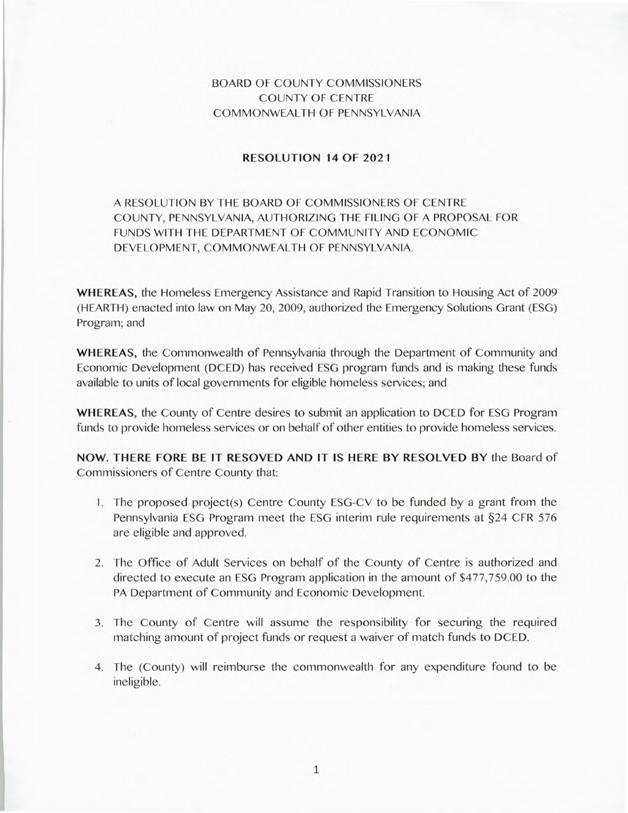## BOARD OF COUNTY COMMISSIONERS COUNTY OF CENTRE COMMONWEALTH OF PENNSYLVANIA

## **RESOLUTION 14 OF 2021**

## A RESOLUTION BY THE BOARD OF COMMISSIONERS OF CENTRE COUNTY, PENNSYLVANIA, AUTHORIZING THE FILING OF A PROPOSAL FOR FUNDS WITH THE DEPARTMENT OF COMMUNITY AND ECONOMIC DEVELOPMENT, COMMONWEALTH OF PENNSYLVANIA.

**WHEREAS,** the Homeless Emergency Assistance and Rapid Transition to Housing Act of 2009 (HEARTH) enacted into law on May 20, 2009, authorized the Emergency Solutions Grant (ESG) Program; and

**WHEREAS,** the Commonwealth of Pennsylvania through the Department of Community and Economic Development (DCED) has received ESG program funds and is making these funds available to units of local governments for eligible homeless services; and

**WHEREAS,** the County of Centre desires to submit an application to DCED for ESG Program funds to provide homeless services or on behalf of other entities to provide homeless services.

**NOW. THERE FORE BE IT RESOVED AND IT IS HERE BY RESOLVED BY** the Board of Commissioners of Centre County that:

- 1. The proposed project(s) Centre County ESG-CV to be funded by a grant from the Pennsylvania ESG Program meet the ESG interim rule requirements at §24 CFR 576 are eligible and approved.
- 2. The Office of Adult Services on behalf of the County of Centre is authorized and directed to execute an ESG Program application in the amount of \$477,759.00 to the PA Department of Community and Economic Development.
- 3. The County of Centre will assume the responsibility for securing the required matching amount of project funds or request a waiver of match funds to DCED.
- 4. The (County) will reimburse the commonwealth for any expenditure found to be ineligible.